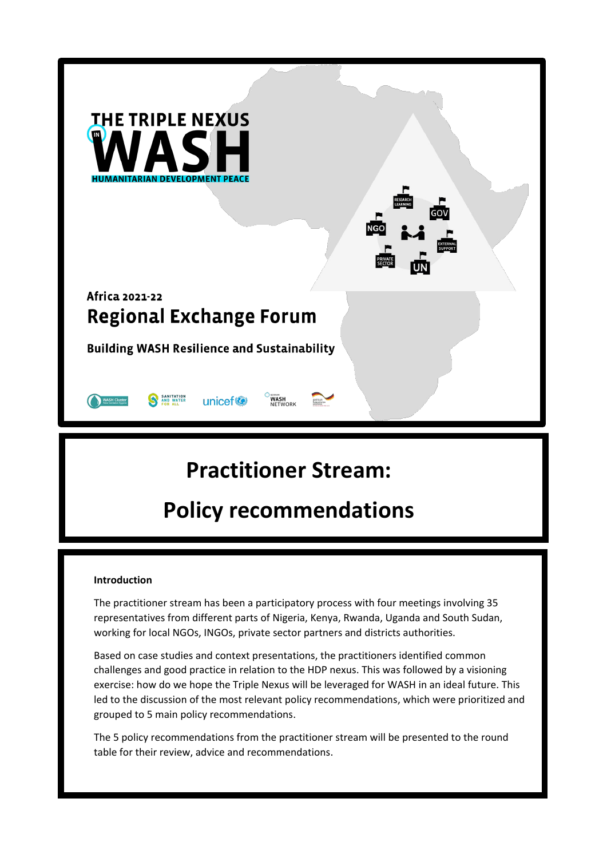| <b>THE TRIPLE NEXUS</b>                                                                           | <b>RESEARCH</b><br>LEARNING<br><b>GOV</b><br><b>NGO</b><br><b>EXTERNAL</b><br>SUPPORT<br><b>PRIVATE</b><br>SECTOR |
|---------------------------------------------------------------------------------------------------|-------------------------------------------------------------------------------------------------------------------|
| Africa 2021-22<br><b>Regional Exchange Forum</b>                                                  |                                                                                                                   |
| <b>Building WASH Resilience and Sustainability</b>                                                |                                                                                                                   |
| GERMAN<br>SANITATION<br>AND WATER<br>unicef <sup>®</sup><br>WASH<br><b>WASH Cluste</b><br>NETWORK |                                                                                                                   |

# **Practitioner Stream:**

# **Policy recommendations**

#### **Introduction**

The practitioner stream has been a participatory process with four meetings involving 35 representatives from different parts of Nigeria, Kenya, Rwanda, Uganda and South Sudan, working for local NGOs, INGOs, private sector partners and districts authorities.

Based on case studies and context presentations, the practitioners identified common challenges and good practice in relation to the HDP nexus. This was followed by a visioning exercise: how do we hope the Triple Nexus will be leveraged for WASH in an ideal future. This led to the discussion of the most relevant policy recommendations, which were prioritized and grouped to 5 main policy recommendations.

The 5 policy recommendations from the practitioner stream will be presented to the round table for their review, advice and recommendations.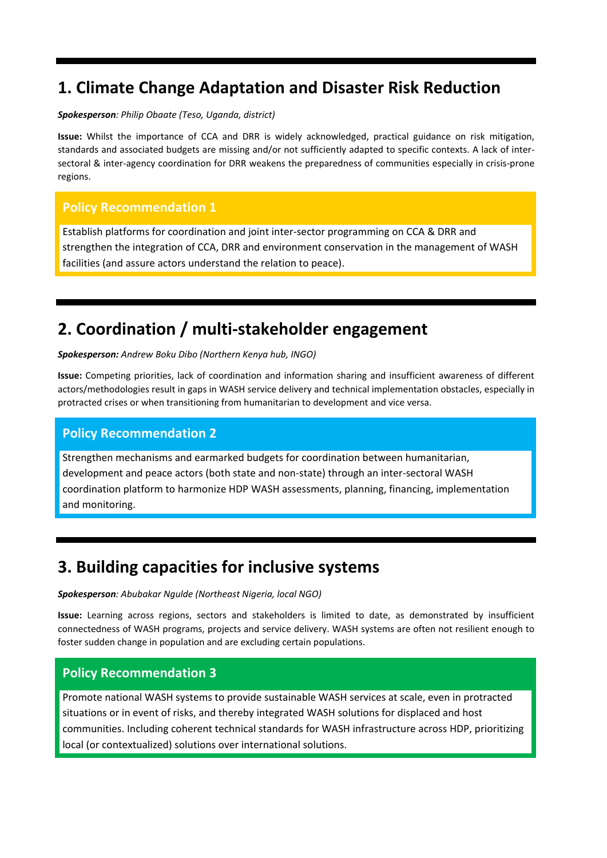# **1. Climate Change Adaptation and Disaster Risk Reduction**

#### *Spokesperson: Philip Obaate (Teso, Uganda, district)*

**Issue:** Whilst the importance of CCA and DRR is widely acknowledged, practical guidance on risk mitigation, standards and associated budgets are missing and/or not sufficiently adapted to specific contexts. A lack of intersectoral & inter-agency coordination for DRR weakens the preparedness of communities especially in crisis-prone regions.

### **Policy Recommendation 1**

Establish platforms for coordination and joint inter-sector programming on CCA & DRR and strengthen the integration of CCA, DRR and environment conservation in the management of WASH facilities (and assure actors understand the relation to peace).

### **2. Coordination / multi-stakeholder engagement**

*Spokesperson: Andrew Boku Dibo (Northern Kenya hub, INGO)* 

**Issue:** Competing priorities, lack of coordination and information sharing and insufficient awareness of different actors/methodologies result in gaps in WASH service delivery and technical implementation obstacles, especially in protracted crises or when transitioning from humanitarian to development and vice versa.

#### **Policy Recommendation 2**

Strengthen mechanisms and earmarked budgets for coordination between humanitarian, development and peace actors (both state and non-state) through an inter-sectoral WASH coordination platform to harmonize HDP WASH assessments, planning, financing, implementation and monitoring.

### **3. Building capacities for inclusive systems**

*Spokesperson: Abubakar Ngulde (Northeast Nigeria, local NGO)*

**Issue:** Learning across regions, sectors and stakeholders is limited to date, as demonstrated by insufficient connectedness of WASH programs, projects and service delivery. WASH systems are often not resilient enough to foster sudden change in population and are excluding certain populations.

#### **Policy Recommendation 3**

Promote national WASH systems to provide sustainable WASH services at scale, even in protracted situations or in event of risks, and thereby integrated WASH solutions for displaced and host communities. Including coherent technical standards for WASH infrastructure across HDP, prioritizing local (or contextualized) solutions over international solutions.